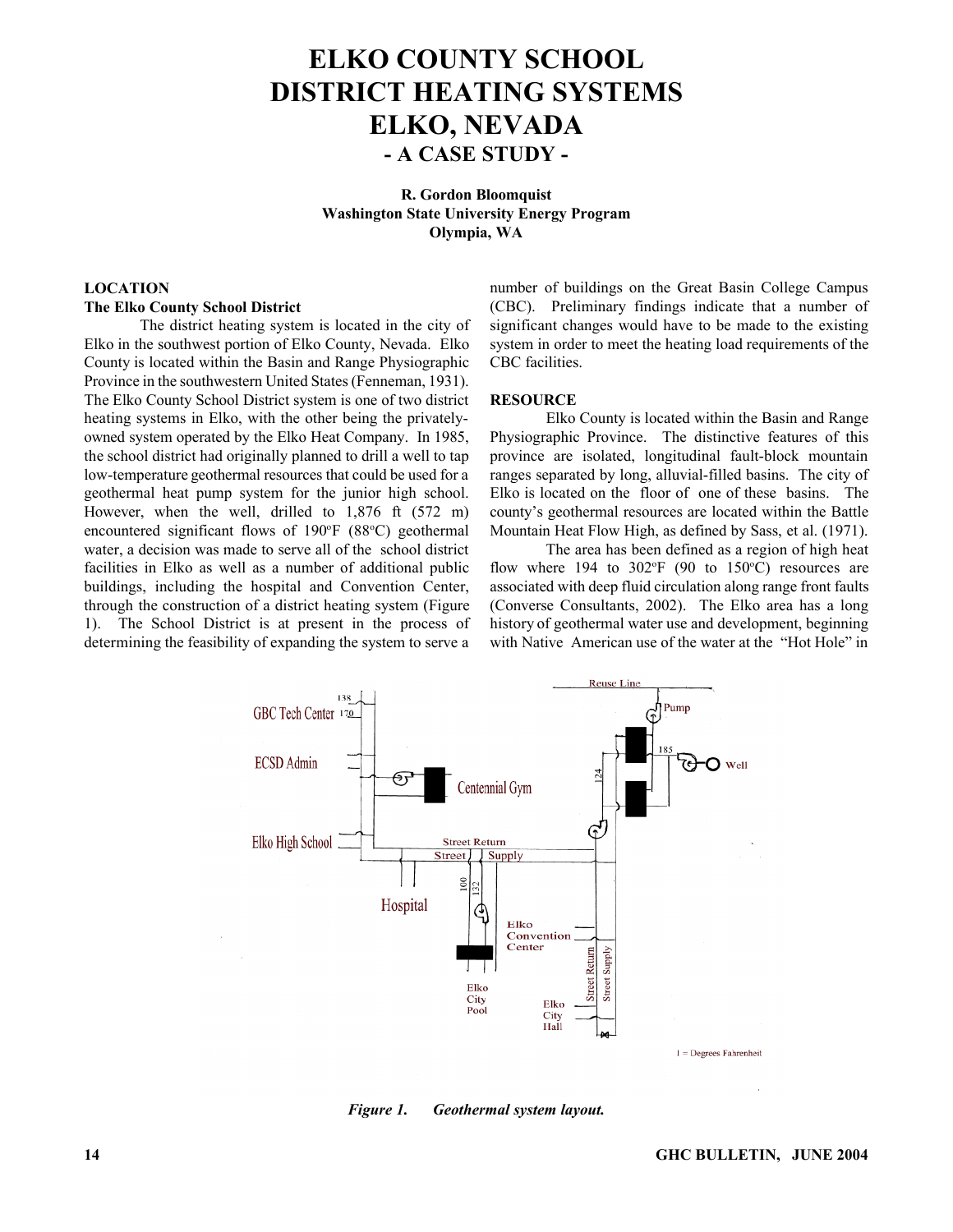# **ELKO COUNTY SCHOOL DISTRICT HEATING SYSTEMS ELKO, NEVADA - A CASE STUDY -**

**R. Gordon Bloomquist Washington State University Energy Program Olympia, WA**

#### **LOCATION**

#### **The Elko County School District**

The district heating system is located in the city of Elko in the southwest portion of Elko County, Nevada. Elko County is located within the Basin and Range Physiographic Province in the southwestern United States (Fenneman, 1931). The Elko County School District system is one of two district heating systems in Elko, with the other being the privatelyowned system operated by the Elko Heat Company. In 1985, the school district had originally planned to drill a well to tap low-temperature geothermal resources that could be used for a geothermal heat pump system for the junior high school. However, when the well, drilled to 1,876 ft (572 m) encountered significant flows of 190 $\degree$ F (88 $\degree$ C) geothermal water, a decision was made to serve all of the school district facilities in Elko as well as a number of additional public buildings, including the hospital and Convention Center, through the construction of a district heating system (Figure 1). The School District is at present in the process of determining the feasibility of expanding the system to serve a number of buildings on the Great Basin College Campus (CBC). Preliminary findings indicate that a number of significant changes would have to be made to the existing system in order to meet the heating load requirements of the CBC facilities.

#### **RESOURCE**

Elko County is located within the Basin and Range Physiographic Province. The distinctive features of this province are isolated, longitudinal fault-block mountain ranges separated by long, alluvial-filled basins. The city of Elko is located on the floor of one of these basins. The county's geothermal resources are located within the Battle Mountain Heat Flow High, as defined by Sass, et al. (1971).

The area has been defined as a region of high heat flow where 194 to  $302^{\circ}F$  (90 to 150 $^{\circ}C$ ) resources are associated with deep fluid circulation along range front faults (Converse Consultants, 2002). The Elko area has a long history of geothermal water use and development, beginning with Native American use of the water at the "Hot Hole" in



*Figure 1. Geothermal system layout.*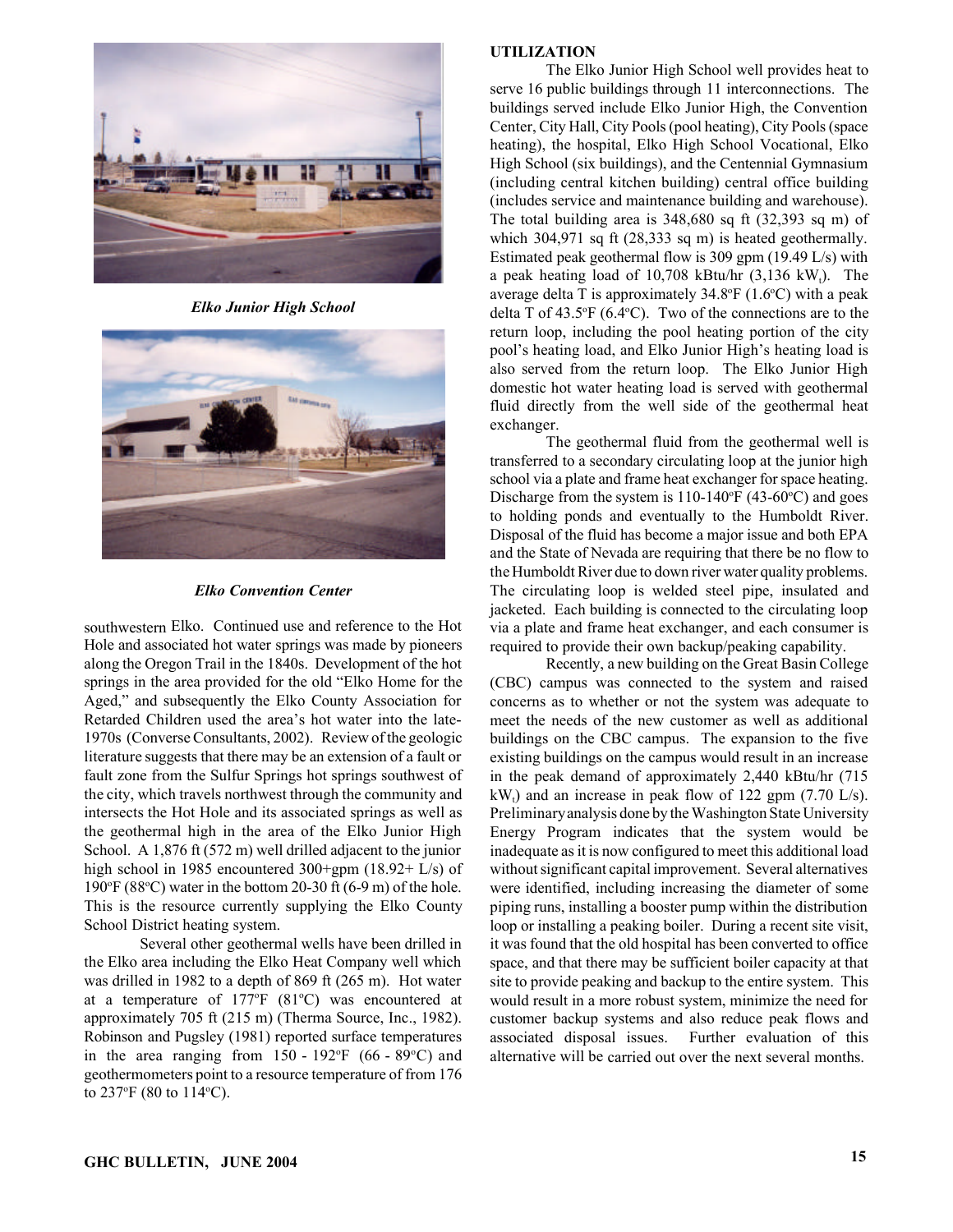

*Elko Junior High School*



## *Elko Convention Center*

southwestern Elko. Continued use and reference to the Hot Hole and associated hot water springs was made by pioneers along the Oregon Trail in the 1840s. Development of the hot springs in the area provided for the old "Elko Home for the Aged," and subsequently the Elko County Association for Retarded Children used the area's hot water into the late-1970s (Converse Consultants, 2002). Review of the geologic literature suggests that there may be an extension of a fault or fault zone from the Sulfur Springs hot springs southwest of the city, which travels northwest through the community and intersects the Hot Hole and its associated springs as well as the geothermal high in the area of the Elko Junior High School. A 1,876 ft (572 m) well drilled adjacent to the junior high school in 1985 encountered 300+gpm (18.92+ L/s) of 190 $\degree$ F (88 $\degree$ C) water in the bottom 20-30 ft (6-9 m) of the hole. This is the resource currently supplying the Elko County School District heating system.

Several other geothermal wells have been drilled in the Elko area including the Elko Heat Company well which was drilled in 1982 to a depth of 869 ft (265 m). Hot water at a temperature of  $177^{\circ}F$  (81 $^{\circ}C$ ) was encountered at approximately 705 ft (215 m) (Therma Source, Inc., 1982). Robinson and Pugsley (1981) reported surface temperatures in the area ranging from  $150 - 192$ °F (66 - 89°C) and geothermometers point to a resource temperature of from 176 to 237 $\mathrm{^{\circ}F}$  (80 to 114 $\mathrm{^{\circ}C}$ ).

## **UTILIZATION**

The Elko Junior High School well provides heat to serve 16 public buildings through 11 interconnections. The buildings served include Elko Junior High, the Convention Center, City Hall, City Pools (pool heating), City Pools (space heating), the hospital, Elko High School Vocational, Elko High School (six buildings), and the Centennial Gymnasium (including central kitchen building) central office building (includes service and maintenance building and warehouse). The total building area is 348,680 sq ft (32,393 sq m) of which 304,971 sq ft (28,333 sq m) is heated geothermally. Estimated peak geothermal flow is 309 gpm (19.49 L/s) with a peak heating load of  $10,708$  kBtu/hr  $(3,136$  kW<sub>t</sub>). The average delta T is approximately  $34.8^{\circ}F(1.6^{\circ}C)$  with a peak delta T of  $43.5^{\circ}F (6.4^{\circ}C)$ . Two of the connections are to the return loop, including the pool heating portion of the city pool's heating load, and Elko Junior High's heating load is also served from the return loop. The Elko Junior High domestic hot water heating load is served with geothermal fluid directly from the well side of the geothermal heat exchanger.

The geothermal fluid from the geothermal well is transferred to a secondary circulating loop at the junior high school via a plate and frame heat exchanger for space heating. Discharge from the system is  $110-140$ <sup>o</sup>F (43-60<sup>o</sup>C) and goes to holding ponds and eventually to the Humboldt River. Disposal of the fluid has become a major issue and both EPA and the State of Nevada are requiring that there be no flow to the Humboldt River due to down river water quality problems. The circulating loop is welded steel pipe, insulated and jacketed. Each building is connected to the circulating loop via a plate and frame heat exchanger, and each consumer is required to provide their own backup/peaking capability.

Recently, a new building on the Great Basin College (CBC) campus was connected to the system and raised concerns as to whether or not the system was adequate to meet the needs of the new customer as well as additional buildings on the CBC campus. The expansion to the five existing buildings on the campus would result in an increase in the peak demand of approximately 2,440 kBtu/hr (715  $kW_t$ ) and an increase in peak flow of 122 gpm (7.70 L/s). Preliminary analysis done by the Washington State University Energy Program indicates that the system would be inadequate as it is now configured to meet this additional load without significant capital improvement. Several alternatives were identified, including increasing the diameter of some piping runs, installing a booster pump within the distribution loop or installing a peaking boiler. During a recent site visit, it was found that the old hospital has been converted to office space, and that there may be sufficient boiler capacity at that site to provide peaking and backup to the entire system. This would result in a more robust system, minimize the need for customer backup systems and also reduce peak flows and associated disposal issues. Further evaluation of this alternative will be carried out over the next several months.